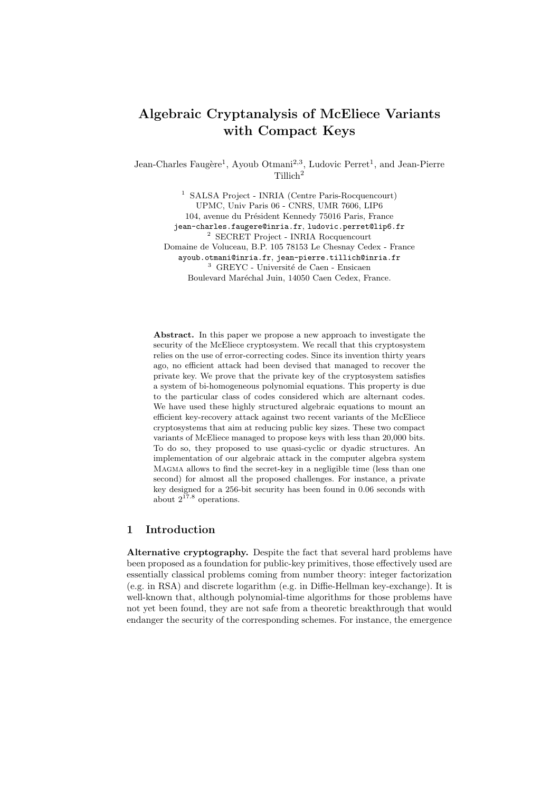# Algebraic Cryptanalysis of McEliece Variants with Compact Keys

Jean-Charles Faugère<sup>1</sup>, Ayoub Otmani<sup>2,3</sup>, Ludovic Perret<sup>1</sup>, and Jean-Pierre Tillich<sup>2</sup>

<sup>1</sup> SALSA Project - INRIA (Centre Paris-Rocquencourt) UPMC, Univ Paris 06 - CNRS, UMR 7606, LIP6 104, avenue du Président Kennedy 75016 Paris, France jean-charles.faugere@inria.fr, ludovic.perret@lip6.fr <sup>2</sup> SECRET Project - INRIA Rocquencourt Domaine de Voluceau, B.P. 105 78153 Le Chesnay Cedex - France ayoub.otmani@inria.fr, jean-pierre.tillich@inria.fr  $^3\,$  GREYC - Université de Caen - Ensicaen Boulevard Maréchal Juin, 14050 Caen Cedex, France.

Abstract. In this paper we propose a new approach to investigate the security of the McEliece cryptosystem. We recall that this cryptosystem relies on the use of error-correcting codes. Since its invention thirty years ago, no efficient attack had been devised that managed to recover the private key. We prove that the private key of the cryptosystem satisfies a system of bi-homogeneous polynomial equations. This property is due to the particular class of codes considered which are alternant codes. We have used these highly structured algebraic equations to mount an efficient key-recovery attack against two recent variants of the McEliece cryptosystems that aim at reducing public key sizes. These two compact variants of McEliece managed to propose keys with less than 20,000 bits. To do so, they proposed to use quasi-cyclic or dyadic structures. An implementation of our algebraic attack in the computer algebra system Magma allows to find the secret-key in a negligible time (less than one second) for almost all the proposed challenges. For instance, a private key designed for a 256-bit security has been found in 0.06 seconds with about  $2^{17.8}$  operations.

# 1 Introduction

Alternative cryptography. Despite the fact that several hard problems have been proposed as a foundation for public-key primitives, those effectively used are essentially classical problems coming from number theory: integer factorization (e.g. in RSA) and discrete logarithm (e.g. in Diffie-Hellman key-exchange). It is well-known that, although polynomial-time algorithms for those problems have not yet been found, they are not safe from a theoretic breakthrough that would endanger the security of the corresponding schemes. For instance, the emergence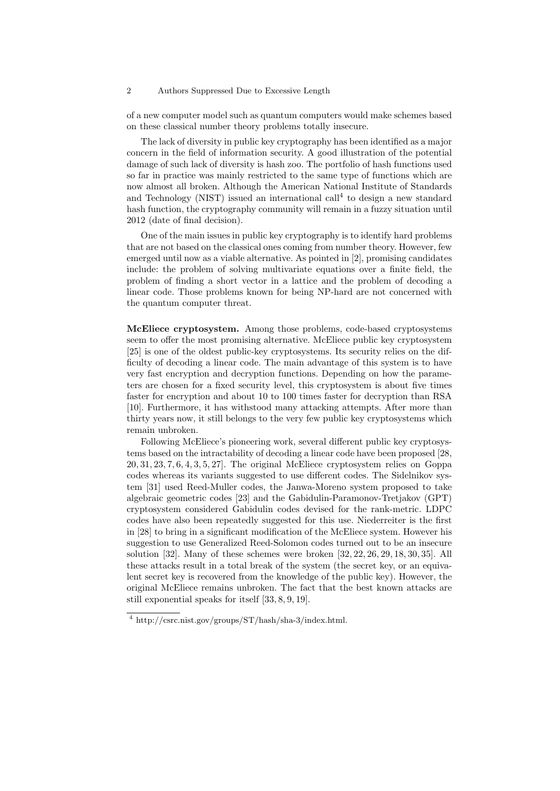of a new computer model such as quantum computers would make schemes based on these classical number theory problems totally insecure.

The lack of diversity in public key cryptography has been identified as a major concern in the field of information security. A good illustration of the potential damage of such lack of diversity is hash zoo. The portfolio of hash functions used so far in practice was mainly restricted to the same type of functions which are now almost all broken. Although the American National Institute of Standards and Technology (NIST) issued an international call<sup>4</sup> to design a new standard hash function, the cryptography community will remain in a fuzzy situation until 2012 (date of final decision).

One of the main issues in public key cryptography is to identify hard problems that are not based on the classical ones coming from number theory. However, few emerged until now as a viable alternative. As pointed in [2], promising candidates include: the problem of solving multivariate equations over a finite field, the problem of finding a short vector in a lattice and the problem of decoding a linear code. Those problems known for being NP-hard are not concerned with the quantum computer threat.

McEliece cryptosystem. Among those problems, code-based cryptosystems seem to offer the most promising alternative. McEliece public key cryptosystem [25] is one of the oldest public-key cryptosystems. Its security relies on the difficulty of decoding a linear code. The main advantage of this system is to have very fast encryption and decryption functions. Depending on how the parameters are chosen for a fixed security level, this cryptosystem is about five times faster for encryption and about 10 to 100 times faster for decryption than RSA [10]. Furthermore, it has withstood many attacking attempts. After more than thirty years now, it still belongs to the very few public key cryptosystems which remain unbroken.

Following McEliece's pioneering work, several different public key cryptosystems based on the intractability of decoding a linear code have been proposed [28, 20, 31, 23, 7, 6, 4, 3, 5, 27]. The original McEliece cryptosystem relies on Goppa codes whereas its variants suggested to use different codes. The Sidelnikov system [31] used Reed-Muller codes, the Janwa-Moreno system proposed to take algebraic geometric codes [23] and the Gabidulin-Paramonov-Tretjakov (GPT) cryptosystem considered Gabidulin codes devised for the rank-metric. LDPC codes have also been repeatedly suggested for this use. Niederreiter is the first in [28] to bring in a significant modification of the McEliece system. However his suggestion to use Generalized Reed-Solomon codes turned out to be an insecure solution [32]. Many of these schemes were broken [32, 22, 26, 29, 18, 30, 35]. All these attacks result in a total break of the system (the secret key, or an equivalent secret key is recovered from the knowledge of the public key). However, the original McEliece remains unbroken. The fact that the best known attacks are still exponential speaks for itself [33, 8, 9, 19].

<sup>4</sup> http://csrc.nist.gov/groups/ST/hash/sha-3/index.html.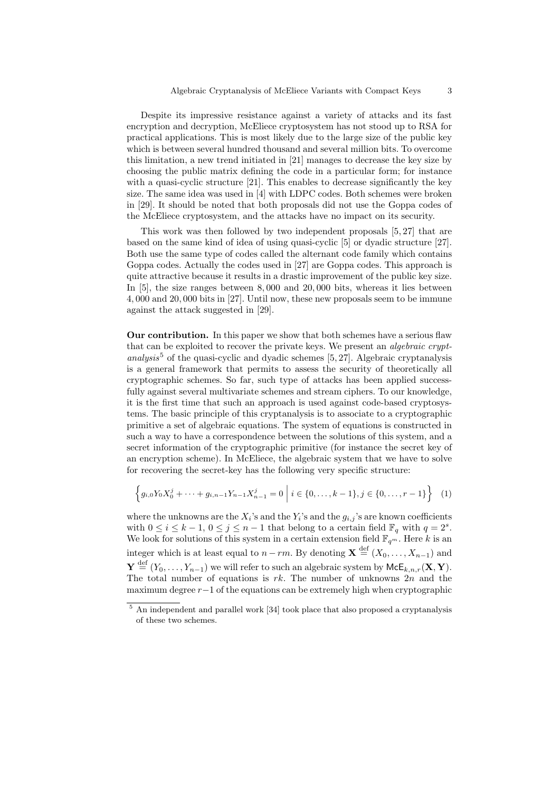Despite its impressive resistance against a variety of attacks and its fast encryption and decryption, McEliece cryptosystem has not stood up to RSA for practical applications. This is most likely due to the large size of the public key which is between several hundred thousand and several million bits. To overcome this limitation, a new trend initiated in [21] manages to decrease the key size by choosing the public matrix defining the code in a particular form; for instance with a quasi-cyclic structure [21]. This enables to decrease significantly the key size. The same idea was used in [4] with LDPC codes. Both schemes were broken in [29]. It should be noted that both proposals did not use the Goppa codes of the McEliece cryptosystem, and the attacks have no impact on its security.

This work was then followed by two independent proposals [5, 27] that are based on the same kind of idea of using quasi-cyclic [5] or dyadic structure [27]. Both use the same type of codes called the alternant code family which contains Goppa codes. Actually the codes used in [27] are Goppa codes. This approach is quite attractive because it results in a drastic improvement of the public key size. In [5], the size ranges between 8, 000 and 20, 000 bits, whereas it lies between 4, 000 and 20, 000 bits in [27]. Until now, these new proposals seem to be immune against the attack suggested in [29].

Our contribution. In this paper we show that both schemes have a serious flaw that can be exploited to recover the private keys. We present an *algebraic crypt*analysis<sup>5</sup> of the quasi-cyclic and dyadic schemes  $[5, 27]$ . Algebraic cryptanalysis is a general framework that permits to assess the security of theoretically all cryptographic schemes. So far, such type of attacks has been applied successfully against several multivariate schemes and stream ciphers. To our knowledge, it is the first time that such an approach is used against code-based cryptosystems. The basic principle of this cryptanalysis is to associate to a cryptographic primitive a set of algebraic equations. The system of equations is constructed in such a way to have a correspondence between the solutions of this system, and a secret information of the cryptographic primitive (for instance the secret key of an encryption scheme). In McEliece, the algebraic system that we have to solve for recovering the secret-key has the following very specific structure:

$$
\left\{g_{i,0}Y_0X_0^j + \dots + g_{i,n-1}Y_{n-1}X_{n-1}^j = 0 \mid i \in \{0,\dots,k-1\}, j \in \{0,\dots,r-1\}\right\}
$$
(1)

where the unknowns are the  $X_i$ 's and the  $Y_i$ 's and the  $g_{i,j}$ 's are known coefficients with  $0 \leq i \leq k-1, 0 \leq j \leq n-1$  that belong to a certain field  $\mathbb{F}_q$  with  $q=2^s$ . We look for solutions of this system in a certain extension field  $\mathbb{F}_{q^m}$ . Here k is an integer which is at least equal to  $n-rm$ . By denoting  $\mathbf{X} \stackrel{\text{def}}{=} (X_0, \ldots, X_{n-1})$  and  $\textbf{Y} \stackrel{\text{def}}{=} (Y_0, \ldots, Y_{n-1})$  we will refer to such an algebraic system by  $\mathsf{McE}_{k,n,r}(\textbf{X}, \textbf{Y})$ . The total number of equations is  $rk$ . The number of unknowns  $2n$  and the maximum degree r−1 of the equations can be extremely high when cryptographic

<sup>5</sup> An independent and parallel work [34] took place that also proposed a cryptanalysis of these two schemes.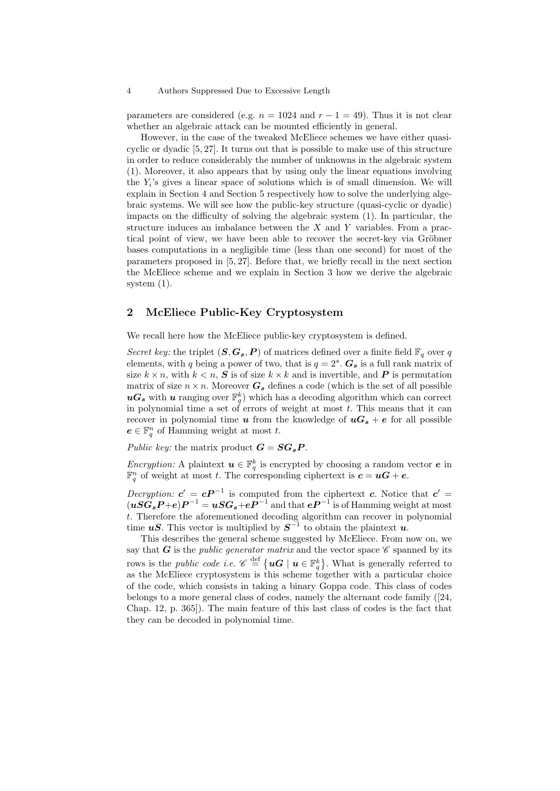parameters are considered (e.g.  $n = 1024$  and  $r - 1 = 49$ ). Thus it is not clear whether an algebraic attack can be mounted efficiently in general.

However, in the case of the tweaked McEliece schemes we have either quasicyclic or dyadic [5, 27]. It turns out that is possible to make use of this structure in order to reduce considerably the number of unknowns in the algebraic system (1). Moreover, it also appears that by using only the linear equations involving the  $Y_i$ 's gives a linear space of solutions which is of small dimension. We will explain in Section 4 and Section 5 respectively how to solve the underlying algebraic systems. We will see how the public-key structure (quasi-cyclic or dyadic) impacts on the difficulty of solving the algebraic system (1). In particular, the structure induces an imbalance between the  $X$  and  $Y$  variables. From a practical point of view, we have been able to recover the secret-key via Gröbner bases computations in a negligible time (less than one second) for most of the parameters proposed in [5, 27]. Before that, we briefly recall in the next section the McEliece scheme and we explain in Section 3 how we derive the algebraic system (1).

# 2 McEliece Public-Key Cryptosystem

We recall here how the McEliece public-key cryptosystem is defined.

Secret key: the triplet  $(S, G_s, P)$  of matrices defined over a finite field  $\mathbb{F}_q$  over q elements, with q being a power of two, that is  $q = 2<sup>s</sup>$ .  $G_s$  is a full rank matrix of size  $k \times n$ , with  $k \leq n$ , S is of size  $k \times k$  and is invertible, and P is permutation matrix of size  $n \times n$ . Moreover  $G_s$  defines a code (which is the set of all possible  $\boldsymbol{u}\boldsymbol{G}_{s}$  with  $\boldsymbol{u}$  ranging over  $\mathbb{F}_{q}^{k}$ ) which has a decoding algorithm which can correct in polynomial time a set of errors of weight at most  $t$ . This means that it can recover in polynomial time  $u$  from the knowledge of  $uG_s + e$  for all possible  $e \in \mathbb{F}_q^n$  of Hamming weight at most t.

Public key: the matrix product  $G = SG_sP$ .

*Encryption:* A plaintext  $u \in \mathbb{F}_q^k$  is encrypted by choosing a random vector  $e$  in  $\mathbb{F}_q^n$  of weight at most t. The corresponding ciphertext is  $c = uG + e$ .

Decryption:  $c' = cP^{-1}$  is computed from the ciphertext c. Notice that  $c' =$  $(\bm{uSG_sP}+\bm{e})\bm{P}^{-1}=\bm{uSG_s}+\bm{e}\bm{P}^{-1}$  and that  $\bm{e}\bm{P}^{-1}$  is of Hamming weight at most t. Therefore the aforementioned decoding algorithm can recover in polynomial time  $uS$ . This vector is multiplied by  $S^{-1}$  to obtain the plaintext  $u$ .

This describes the general scheme suggested by McEliece. From now on, we say that G is the *public generator matrix* and the vector space  $\mathscr C$  spanned by its rows is the *public code i.e.*  $\mathscr{C} \stackrel{\text{def}}{=} \{ \mathbf{u} \mathbf{G} \mid \mathbf{u} \in \mathbb{F}_q^k \}.$  What is generally referred to as the McEliece cryptosystem is this scheme together with a particular choice of the code, which consists in taking a binary Goppa code. This class of codes belongs to a more general class of codes, namely the alternant code family ([24, Chap. 12, p. 365]). The main feature of this last class of codes is the fact that they can be decoded in polynomial time.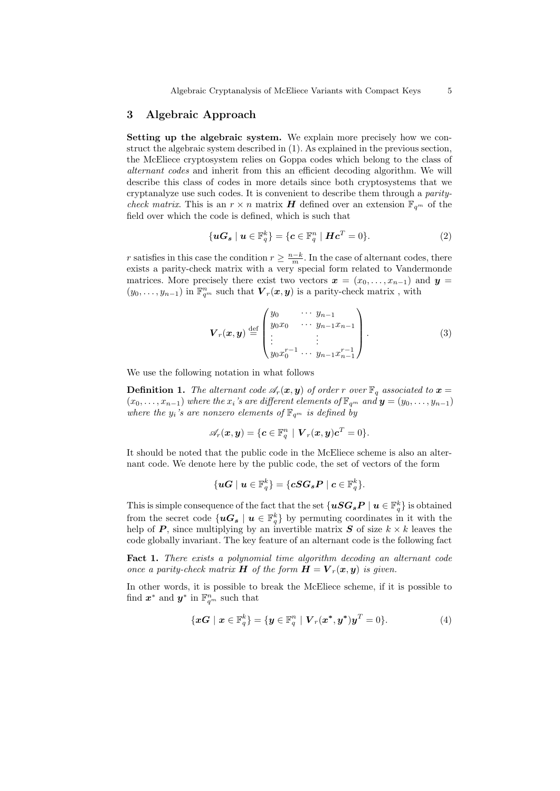# 3 Algebraic Approach

Setting up the algebraic system. We explain more precisely how we construct the algebraic system described in (1). As explained in the previous section, the McEliece cryptosystem relies on Goppa codes which belong to the class of alternant codes and inherit from this an efficient decoding algorithm. We will describe this class of codes in more details since both cryptosystems that we cryptanalyze use such codes. It is convenient to describe them through a paritycheck matrix. This is an  $r \times n$  matrix **H** defined over an extension  $\mathbb{F}_{q^m}$  of the field over which the code is defined, which is such that

$$
\{uG_s \mid u \in \mathbb{F}_q^k\} = \{c \in \mathbb{F}_q^n \mid Hc^T = 0\}.
$$
 (2)

r satisfies in this case the condition  $r \geq \frac{n-k}{m}$ . In the case of alternant codes, there exists a parity-check matrix with a very special form related to Vandermonde matrices. More precisely there exist two vectors  $x = (x_0, \ldots, x_{n-1})$  and  $y =$  $(y_0, \ldots, y_{n-1})$  in  $\mathbb{F}_{q^m}^n$  such that  $\boldsymbol{V}_r(\boldsymbol{x}, \boldsymbol{y})$  is a parity-check matrix, with

$$
\boldsymbol{V}_r(\boldsymbol{x}, \boldsymbol{y}) \stackrel{\text{def}}{=} \begin{pmatrix} y_0 & \cdots & y_{n-1} \\ y_0 x_0 & \cdots & y_{n-1} x_{n-1} \\ \vdots & \vdots & \vdots \\ y_0 x_0^{r-1} & \cdots & y_{n-1} x_{n-1}^{r-1} \end{pmatrix} . \tag{3}
$$

We use the following notation in what follows

**Definition 1.** The alternant code  $\mathscr{A}_r(x, y)$  of order r over  $\mathbb{F}_q$  associated to  $x =$  $(x_0, \ldots, x_{n-1})$  where the  $x_i$ 's are different elements of  $\mathbb{F}_{q^m}$  and  $\mathbf{y} = (y_0, \ldots, y_{n-1})$ where the  $y_i$ 's are nonzero elements of  $\mathbb{F}_{q^m}$  is defined by

$$
\mathscr{A}_r(\boldsymbol{x},\boldsymbol{y}) = \{\boldsymbol{c} \in \mathbb{F}_q^n \mid \boldsymbol{V}_r(\boldsymbol{x},\boldsymbol{y})\boldsymbol{c}^T = 0\}.
$$

It should be noted that the public code in the McEliece scheme is also an alternant code. We denote here by the public code, the set of vectors of the form

$$
\{\boldsymbol{uG}\mid \boldsymbol{u}\in \mathbb{F}_q^k\}=\{\boldsymbol{cSG_sP}}\mid \boldsymbol{c}\in \mathbb{F}_q^k\}.
$$

This is simple consequence of the fact that the set  $\{\boldsymbol{uSG_sP} \mid \boldsymbol{u} \in \mathbb{F}_q^k\}$  is obtained from the secret code  $\{uG_s \mid u \in \mathbb{F}_q^k\}$  by permuting coordinates in it with the help of **P**, since multiplying by an invertible matrix **S** of size  $k \times k$  leaves the code globally invariant. The key feature of an alternant code is the following fact

Fact 1. There exists a polynomial time algorithm decoding an alternant code once a parity-check matrix **H** of the form  $\mathbf{H} = \mathbf{V}_r(\mathbf{x}, \mathbf{y})$  is given.

In other words, it is possible to break the McEliece scheme, if it is possible to find  $x^*$  and  $y^*$  in  $\mathbb{F}_{q^m}^n$  such that

$$
\{\boldsymbol{x}\boldsymbol{G} \mid \boldsymbol{x} \in \mathbb{F}_q^k\} = \{\boldsymbol{y} \in \mathbb{F}_q^n \mid \boldsymbol{V}_r(\boldsymbol{x}^*, \boldsymbol{y}^*)\boldsymbol{y}^T = 0\}.
$$
 (4)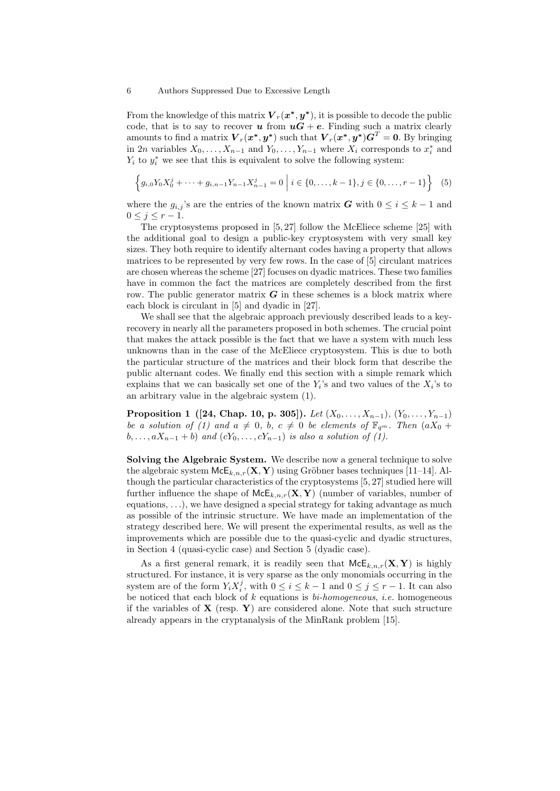From the knowledge of this matrix  $\boldsymbol{V}_r(\boldsymbol{x^*}, \boldsymbol{y^*})$ , it is possible to decode the public code, that is to say to recover **u** from  $uG + e$ . Finding such a matrix clearly amounts to find a matrix  $\boldsymbol{V}_r(\boldsymbol{x^*},\boldsymbol{y^*})$  such that  $\boldsymbol{V}_r(\boldsymbol{x^*},\boldsymbol{y^*})\boldsymbol{G}^T=\boldsymbol{0}$ . By bringing in 2n variables  $X_0, \ldots, X_{n-1}$  and  $Y_0, \ldots, Y_{n-1}$  where  $X_i$  corresponds to  $x_i^*$  and  $Y_i$  to  $y_i^*$  we see that this is equivalent to solve the following system:

$$
\left\{g_{i,0}Y_0X_0^j + \dots + g_{i,n-1}Y_{n-1}X_{n-1}^j = 0 \mid i \in \{0,\dots,k-1\}, j \in \{0,\dots,r-1\}\right\}
$$
(5)

where the  $g_{i,j}$ 's are the entries of the known matrix G with  $0 \leq i \leq k-1$  and  $0 \leq j \leq r-1$ .

The cryptosystems proposed in [5, 27] follow the McEliece scheme [25] with the additional goal to design a public-key cryptosystem with very small key sizes. They both require to identify alternant codes having a property that allows matrices to be represented by very few rows. In the case of [5] circulant matrices are chosen whereas the scheme [27] focuses on dyadic matrices. These two families have in common the fact the matrices are completely described from the first row. The public generator matrix  $G$  in these schemes is a block matrix where each block is circulant in [5] and dyadic in [27].

We shall see that the algebraic approach previously described leads to a keyrecovery in nearly all the parameters proposed in both schemes. The crucial point that makes the attack possible is the fact that we have a system with much less unknowns than in the case of the McEliece cryptosystem. This is due to both the particular structure of the matrices and their block form that describe the public alternant codes. We finally end this section with a simple remark which explains that we can basically set one of the  $Y_i$ 's and two values of the  $X_i$ 's to an arbitrary value in the algebraic system (1).

Proposition 1 ([24, Chap. 10, p. 305]). Let  $(X_0, \ldots, X_{n-1}), (Y_0, \ldots, Y_{n-1})$ be a solution of (1) and  $a \neq 0$ , b,  $c \neq 0$  be elements of  $\mathbb{F}_{q^m}$ . Then  $(aX_0 +$  $b, \ldots, aX_{n-1} + b)$  and  $(cY_0, \ldots, cY_{n-1})$  is also a solution of (1).

Solving the Algebraic System. We describe now a general technique to solve the algebraic system  $McE_{k,n,r}(\mathbf{X}, \mathbf{Y})$  using Gröbner bases techniques [11–14]. Although the particular characteristics of the cryptosystems [5, 27] studied here will further influence the shape of  $McE_{k,n,r}(\mathbf{X}, \mathbf{Y})$  (number of variables, number of equations,  $\ldots$ ), we have designed a special strategy for taking advantage as much as possible of the intrinsic structure. We have made an implementation of the strategy described here. We will present the experimental results, as well as the improvements which are possible due to the quasi-cyclic and dyadic structures, in Section 4 (quasi-cyclic case) and Section 5 (dyadic case).

As a first general remark, it is readily seen that  $\mathsf{McE}_{k,n,r}(\mathbf{X}, \mathbf{Y})$  is highly structured. For instance, it is very sparse as the only monomials occurring in the system are of the form  $Y_i X_i^j$ , with  $0 \le i \le k-1$  and  $0 \le j \le r-1$ . It can also be noticed that each block of  $k$  equations is  $bi-homogeneous$ , *i.e.* homogeneous if the variables of  $X$  (resp.  $Y$ ) are considered alone. Note that such structure already appears in the cryptanalysis of the MinRank problem [15].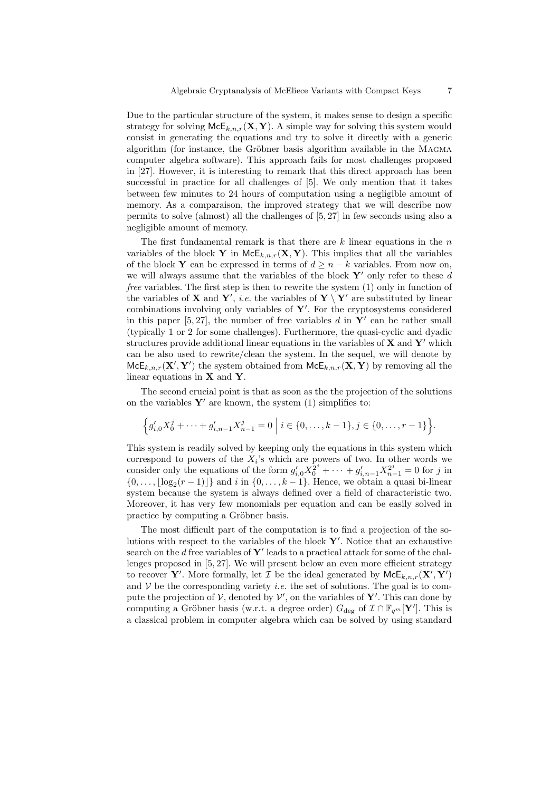Due to the particular structure of the system, it makes sense to design a specific strategy for solving  $McE_{k,n,r}(\mathbf{X}, \mathbf{Y})$ . A simple way for solving this system would consist in generating the equations and try to solve it directly with a generic algorithm (for instance, the Gröbner basis algorithm available in the MAGMA computer algebra software). This approach fails for most challenges proposed in [27]. However, it is interesting to remark that this direct approach has been successful in practice for all challenges of [5]. We only mention that it takes between few minutes to 24 hours of computation using a negligible amount of memory. As a comparaison, the improved strategy that we will describe now permits to solve (almost) all the challenges of [5, 27] in few seconds using also a negligible amount of memory.

The first fundamental remark is that there are  $k$  linear equations in the  $n$ variables of the block Y in  $\mathsf{McE}_{k,n,r}(\mathbf{X}, \mathbf{Y})$ . This implies that all the variables of the block Y can be expressed in terms of  $d \geq n - k$  variables. From now on, we will always assume that the variables of the block  $Y'$  only refer to these d free variables. The first step is then to rewrite the system (1) only in function of the variables of **X** and **Y'**, *i.e.* the variables of **Y** \ **Y'** are substituted by linear combinations involving only variables of  $Y'$ . For the cryptosystems considered in this paper  $[5, 27]$ , the number of free variables d in Y' can be rather small (typically 1 or 2 for some challenges). Furthermore, the quasi-cyclic and dyadic structures provide additional linear equations in the variables of  $X$  and  $Y'$  which can be also used to rewrite/clean the system. In the sequel, we will denote by  $McE_{k,n,r}(\mathbf{X}', \mathbf{Y}')$  the system obtained from  $McE_{k,n,r}(\mathbf{X}, \mathbf{Y})$  by removing all the linear equations in  $X$  and  $Y$ .

The second crucial point is that as soon as the the projection of the solutions on the variables  $Y'$  are known, the system (1) simplifies to:

$$
\left\{g'_{i,0}X_0^j + \dots + g'_{i,n-1}X_{n-1}^j = 0 \mid i \in \{0,\dots,k-1\}, j \in \{0,\dots,r-1\}\right\}.
$$

This system is readily solved by keeping only the equations in this system which correspond to powers of the  $X_i$ 's which are powers of two. In other words we consider only the equations of the form  $g'_{i,0}X_0^{2^j} + \cdots + g'_{i,n-1}X_{n-1}^{2^j} = 0$  for j in  $\{0, \ldots, \lfloor \log_2(r-1) \rfloor\}$  and i in  $\{0, \ldots, k-1\}$ . Hence, we obtain a quasi bi-linear system because the system is always defined over a field of characteristic two. Moreover, it has very few monomials per equation and can be easily solved in practice by computing a Gröbner basis.

The most difficult part of the computation is to find a projection of the solutions with respect to the variables of the block  $\mathbf{Y}'$ . Notice that an exhaustive search on the d free variables of  $Y'$  leads to a practical attack for some of the challenges proposed in [5, 27]. We will present below an even more efficient strategy to recover Y'. More formally, let  $\mathcal I$  be the ideal generated by  $\mathsf{McE}_{k,n,r}(\mathbf X', \mathbf Y')$ and  $V$  be the corresponding variety *i.e.* the set of solutions. The goal is to compute the projection of  $V$ , denoted by  $V'$ , on the variables of  $Y'$ . This can done by computing a Gröbner basis (w.r.t. a degree order)  $G_{\text{deg}}$  of  $\mathcal{I} \cap \mathbb{F}_{q^m}[\mathbf{Y}']$ . This is a classical problem in computer algebra which can be solved by using standard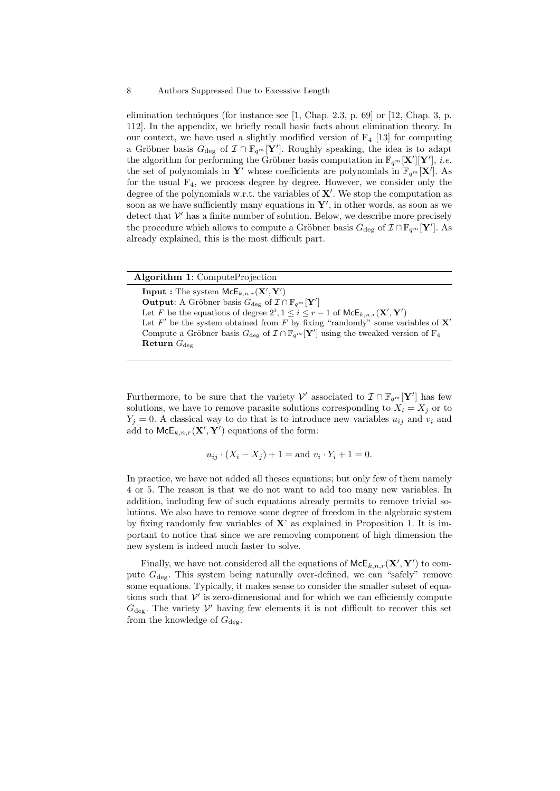elimination techniques (for instance see [1, Chap. 2.3, p. 69] or [12, Chap. 3, p. 112]. In the appendix, we briefly recall basic facts about elimination theory. In our context, we have used a slightly modified version of  $F_4$  [13] for computing a Gröbner basis  $G_{\text{deg}}$  of  $\mathcal{I} \cap \mathbb{F}_{q^m}[\mathbf{Y}']$ . Roughly speaking, the idea is to adapt the algorithm for performing the Gröbner basis computation in  $\mathbb{F}_{q^m}[\mathbf{X}'][\mathbf{Y}'], i.e.$ the set of polynomials in  $Y'$  whose coefficients are polynomials in  $\mathbb{F}_{q^m}[\mathbf{X}']$ . As for the usual  $F_4$ , we process degree by degree. However, we consider only the degree of the polynomials w.r.t. the variables of  $X'$ . We stop the computation as soon as we have sufficiently many equations in  $Y'$ , in other words, as soon as we detect that  $V'$  has a finite number of solution. Below, we describe more precisely the procedure which allows to compute a Gröbner basis  $G_{\text{deg}}$  of  $\mathcal{I} \cap \mathbb{F}_{q^m}[\mathbf{Y}']$ . As already explained, this is the most difficult part.

| <b>Algorithm 1:</b> ComputeProjection                                                                                           |
|---------------------------------------------------------------------------------------------------------------------------------|
| <b>Input</b> : The system $McE_{k,n,r}(\mathbf{X}', \mathbf{Y}')$                                                               |
| <b>Output:</b> A Gröbner basis $G_{\text{deg}}$ of $\mathcal{I} \cap \mathbb{F}_{q^m}[\mathbf{Y}']$                             |
| Let F be the equations of degree $2^i, 1 \leq i \leq r-1$ of $\mathsf{McE}_{k,n,r}(\mathbf{X}', \mathbf{Y}')$                   |
| Let F' be the system obtained from F by fixing "randomly" some variables of $X'$                                                |
| Compute a Gröbner basis $G_{\text{deg}}$ of $\mathcal{I} \cap \mathbb{F}_{q^m}[\mathbf{Y}']$ using the tweaked version of $F_4$ |
| Return $G_{\text{der}}$                                                                                                         |
|                                                                                                                                 |

Furthermore, to be sure that the variety  $\mathcal{V}'$  associated to  $\mathcal{I} \cap \mathbb{F}_{q^m}[\mathbf{Y}']$  has few solutions, we have to remove parasite solutions corresponding to  $X_i = X_j$  or to  $Y_j = 0$ . A classical way to do that is to introduce new variables  $u_{ij}$  and  $v_i$  and add to  $\mathsf{McE}_{k,n,r}(\mathbf{X}', \mathbf{Y}')$  equations of the form:

$$
u_{ij} \cdot (X_i - X_j) + 1 = \text{and } v_i \cdot Y_i + 1 = 0.
$$

In practice, we have not added all theses equations; but only few of them namely 4 or 5. The reason is that we do not want to add too many new variables. In addition, including few of such equations already permits to remove trivial solutions. We also have to remove some degree of freedom in the algebraic system by fixing randomly few variables of  $X'$  as explained in Proposition 1. It is important to notice that since we are removing component of high dimension the new system is indeed much faster to solve.

Finally, we have not considered all the equations of  $\mathsf{McE}_{k,n,r}(\mathbf{X}', \mathbf{Y}')$  to compute  $G_{\text{dec}}$ . This system being naturally over-defined, we can "safely" remove some equations. Typically, it makes sense to consider the smaller subset of equations such that  $\mathcal V'$  is zero-dimensional and for which we can efficiently compute  $G_{\text{deg}}$ . The variety  $V'$  having few elements it is not difficult to recover this set from the knowledge of  $G_{\text{deg}}$ .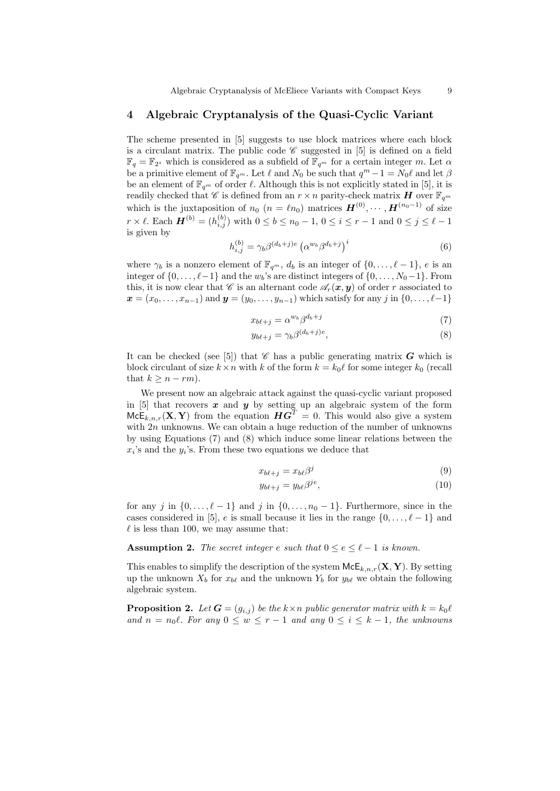Algebraic Cryptanalysis of McEliece Variants with Compact Keys 9

## 4 Algebraic Cryptanalysis of the Quasi-Cyclic Variant

The scheme presented in [5] suggests to use block matrices where each block is a circulant matrix. The public code  $\mathscr C$  suggested in [5] is defined on a field  $\mathbb{F}_q = \mathbb{F}_{2^s}$  which is considered as a subfield of  $\mathbb{F}_{q^m}$  for a certain integer m. Let  $\alpha$ be a primitive element of  $\mathbb{F}_{q^m}$ . Let  $\ell$  and  $N_0$  be such that  $q^m - 1 = N_0\ell$  and let  $\beta$ be an element of  $\mathbb{F}_{q^m}$  of order  $\ell$ . Although this is not explicitly stated in [5], it is readily checked that  $\mathscr C$  is defined from an  $r \times n$  parity-check matrix  $H$  over  $\mathbb F_{q^m}$ which is the juxtaposition of  $n_0$   $(n = \ell n_0)$  matrices  $\boldsymbol{H}^{(0)}, \cdots, \boldsymbol{H}^{(n_0-1)}$  of size  $r \times \ell$ . Each  $\boldsymbol{H}^{(b)} = (h_{i,j}^{(b)})$  with  $0 \le b \le n_0 - 1$ ,  $0 \le i \le r - 1$  and  $0 \le j \le \ell - 1$ is given by

$$
h_{i,j}^{(b)} = \gamma_b \beta^{(d_b+j)e} \left(\alpha^{w_b} \beta^{d_b+j}\right)^i \tag{6}
$$

where  $\gamma_b$  is a nonzero element of  $\mathbb{F}_{q^m}$ ,  $d_b$  is an integer of  $\{0, \ldots, \ell - 1\}$ , e is an integer of  $\{0, \ldots, \ell-1\}$  and the  $w_b$ 's are distinct integers of  $\{0, \ldots, N_0-1\}$ . From this, it is now clear that  $\mathscr{C}$  is an alternant code  $\mathscr{A}_r(\boldsymbol{x}, \boldsymbol{y})$  of order r associated to  $x = (x_0, \ldots, x_{n-1})$  and  $y = (y_0, \ldots, y_{n-1})$  which satisfy for any j in  $\{0, \ldots, \ell-1\}$ 

$$
x_{b\ell+j} = \alpha^{w_b} \beta^{d_b+j} \tag{7}
$$

$$
y_{b\ell+j} = \gamma_b \beta^{(d_b+j)e},\tag{8}
$$

It can be checked (see [5]) that  $\mathscr C$  has a public generating matrix  $G$  which is block circulant of size  $k \times n$  with k of the form  $k = k_0 \ell$  for some integer  $k_0$  (recall that  $k \geq n-rm$ ).

We present now an algebraic attack against the quasi-cyclic variant proposed in  $[5]$  that recovers  $x$  and  $y$  by setting up an algebraic system of the form  $McE_{k,n,r}(\mathbf{X}, \mathbf{Y})$  from the equation  $HG^{T} = 0$ . This would also give a system with  $2n$  unknowns. We can obtain a huge reduction of the number of unknowns by using Equations (7) and (8) which induce some linear relations between the  $x_i$ 's and the  $y_i$ 's. From these two equations we deduce that

$$
x_{b\ell+j} = x_{b\ell}\beta^j \tag{9}
$$

$$
y_{b\ell+j} = y_{b\ell}\beta^{je},\tag{10}
$$

for any j in  $\{0, \ldots, \ell - 1\}$  and j in  $\{0, \ldots, n_0 - 1\}$ . Furthermore, since in the cases considered in [5], e is small because it lies in the range  $\{0, \ldots, \ell - 1\}$  and  $\ell$  is less than 100, we may assume that:

**Assumption 2.** The secret integer e such that  $0 \le e \le \ell - 1$  is known.

This enables to simplify the description of the system  $\mathsf{McE}_{k,n,r}(\mathbf{X}, \mathbf{Y})$ . By setting up the unknown  $X_b$  for  $x_{b\ell}$  and the unknown  $Y_b$  for  $y_{b\ell}$  we obtain the following algebraic system.

**Proposition 2.** Let  $G = (g_{i,j})$  be the  $k \times n$  public generator matrix with  $k = k_0 \ell$ and  $n = n_0\ell$ . For any  $0 \le w \le r - 1$  and any  $0 \le i \le k - 1$ , the unknowns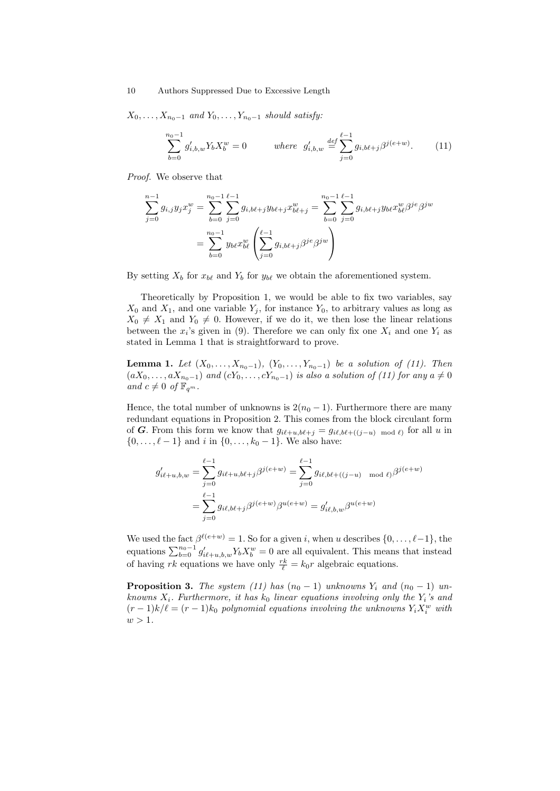$X_0, \ldots, X_{n_0-1}$  and  $Y_0, \ldots, Y_{n_0-1}$  should satisfy:

$$
\sum_{b=0}^{n_0-1} g'_{i,b,w} Y_b X_b^w = 0 \qquad \text{where} \quad g'_{i,b,w} \stackrel{\text{def}}{=} \sum_{j=0}^{\ell-1} g_{i,b\ell+j} \beta^{j(e+w)}.
$$
 (11)

Proof. We observe that

$$
\sum_{j=0}^{n-1} g_{i,j} y_j x_j^w = \sum_{b=0}^{n_0-1} \sum_{j=0}^{\ell-1} g_{i,b\ell+j} y_{b\ell+j} x_{b\ell+j}^w = \sum_{b=0}^{n_0-1} \sum_{j=0}^{\ell-1} g_{i,b\ell+j} y_{b\ell} x_{b\ell}^w \beta^{je} \beta^{jw}
$$

$$
= \sum_{b=0}^{n_0-1} y_{b\ell} x_{b\ell}^w \left( \sum_{j=0}^{\ell-1} g_{i,b\ell+j} \beta^{je} \beta^{jw} \right)
$$

By setting  $X_b$  for  $x_{b\ell}$  and  $Y_b$  for  $y_{b\ell}$  we obtain the aforementioned system.

Theoretically by Proposition 1, we would be able to fix two variables, say  $X_0$  and  $X_1$ , and one variable  $Y_i$ , for instance  $Y_0$ , to arbitrary values as long as  $X_0 \neq X_1$  and  $Y_0 \neq 0$ . However, if we do it, we then lose the linear relations between the  $x_i$ 's given in (9). Therefore we can only fix one  $X_i$  and one  $Y_i$  as stated in Lemma 1 that is straightforward to prove.

**Lemma 1.** Let  $(X_0, ..., X_{n_0-1}), (Y_0, ..., Y_{n_0-1})$  be a solution of (11). Then  $(aX_0, \ldots, aX_{n_0-1})$  and  $(cY_0, \ldots, cY_{n_0-1})$  is also a solution of (11) for any  $a \neq 0$ and  $c \neq 0$  of  $\mathbb{F}_{q^m}$ .

Hence, the total number of unknowns is  $2(n_0 - 1)$ . Furthermore there are many redundant equations in Proposition 2. This comes from the block circulant form of G. From this form we know that  $g_{i\ell+u,b\ell+j} = g_{i\ell,b\ell+((j-u) \mod \ell)}$  for all u in  $\{0, \ldots, \ell - 1\}$  and i in  $\{0, \ldots, k_0 - 1\}$ . We also have:

$$
g'_{i\ell+u,b,w} = \sum_{j=0}^{\ell-1} g_{i\ell+u,b\ell+j} \beta^{j(e+w)} = \sum_{j=0}^{\ell-1} g_{i\ell,b\ell+(j-u) \mod \ell} \beta^{j(e+w)}
$$

$$
= \sum_{j=0}^{\ell-1} g_{i\ell,b\ell+j} \beta^{j(e+w)} \beta^{u(e+w)} = g'_{i\ell,b,w} \beta^{u(e+w)}
$$

We used the fact  $\beta^{\ell(e+w)} = 1$ . So for a given i, when u describes  $\{0, \ldots, \ell-1\}$ , the equations  $\sum_{b=0}^{n_0-1} g'_{i\ell+u,b,w} Y_b X_b^w = 0$  are all equivalent. This means that instead of having rk equations we have only  $\frac{rk}{\ell} = k_0 r$  algebraic equations.

**Proposition 3.** The system (11) has  $(n_0 - 1)$  unknowns  $Y_i$  and  $(n_0 - 1)$  unknowns  $X_i$ . Furthermore, it has  $k_0$  linear equations involving only the  $Y_i$ 's and  $(r-1)k/\ell = (r-1)k_0$  polynomial equations involving the unknowns  $Y_i X_i^w$  with  $w > 1$ .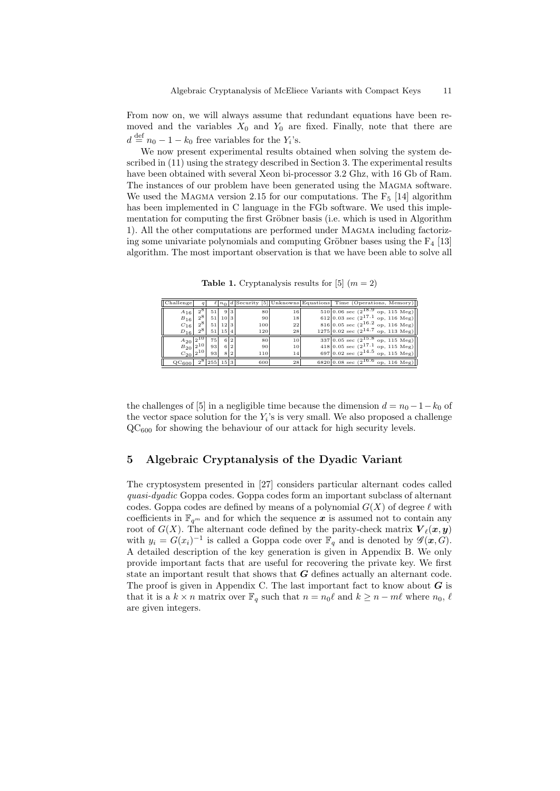From now on, we will always assume that redundant equations have been removed and the variables  $X_0$  and  $Y_0$  are fixed. Finally, note that there are  $d \stackrel{\text{def}}{=} n_0 - 1 - k_0$  free variables for the  $Y_i$ 's.

We now present experimental results obtained when solving the system described in (11) using the strategy described in Section 3. The experimental results have been obtained with several Xeon bi-processor 3.2 Ghz, with 16 Gb of Ram. The instances of our problem have been generated using the MAGMA software. We used the MAGMA version 2.15 for our computations. The  $F_5$  [14] algorithm has been implemented in C language in the FGb software. We used this implementation for computing the first Gröbner basis (i.e. which is used in Algorithm 1). All the other computations are performed under Magma including factorizing some univariate polynomials and computing Gröbner bases using the  $F_4$  [13] algorithm. The most important observation is that we have been able to solve all

**Table 1.** Cryptanalysis results for [5]  $(m = 2)$ 

| Challenge                 | a           |                      |      |     |     |                 | $\ell  n_0 d$ Security [5] Unknowns Equations Time (Operations, Memory) |
|---------------------------|-------------|----------------------|------|-----|-----|-----------------|-------------------------------------------------------------------------|
| $A_{16}$                  | $2^{\circ}$ | 51                   |      | 9 3 | 80  | 16              | $510 0.06 \text{ sec } (2^{18.9} \text{ op}, 115 \text{ Meg})$          |
| $B_{16}$                  | $2^8$       | 51                   | 10 3 |     | 90  | 18              | 612 0.03 sec $(2^{17.1}$ op, 116 Meg)                                   |
| $C_{16}$                  | $2^{8}$     | 51                   | 12 3 |     | 100 | 22 <sub>1</sub> | 816 0.05 sec $(2^{16.2}$ op, 116 Meg)                                   |
| $D_{16}$                  | $2^8$       | 51                   | 15 4 |     | 120 | 28              | $1275 0.02 \text{ sec } (2^{14.7} \text{ op}, 113 \text{ Meg})$         |
| $A_{20}$ $ 2^{10}$        |             | 75                   |      | 6 2 | 80  | 10              | $337 0.05 \text{ sec } (2^{15.8} \text{ op}, 115 \text{ Meg})$          |
|                           |             |                      |      |     |     |                 |                                                                         |
| $B_{20} 2^{10} $          |             | 93                   |      | 6 2 | 90  | 10              | 418 0.05 sec $(2^{17.1}$ op, 115 Meg)                                   |
| $C_{20}$  2 <sup>10</sup> |             | 93                   |      | 8 2 | 110 | 14              | 697 0.02 sec $(2^{14.5}$ op, 115 Meg)                                   |
| $QC_{600}$                |             | $2^8$   255   15   3 |      |     | 600 | 28              | 6820 0.08 sec $(2^{16.6}$ op, 116 Meg)                                  |

the challenges of [5] in a negligible time because the dimension  $d = n_0 - 1 - k_0$  of the vector space solution for the  $Y_i$ 's is very small. We also proposed a challenge  $QC_{600}$  for showing the behaviour of our attack for high security levels.

# 5 Algebraic Cryptanalysis of the Dyadic Variant

The cryptosystem presented in [27] considers particular alternant codes called quasi-dyadic Goppa codes. Goppa codes form an important subclass of alternant codes. Goppa codes are defined by means of a polynomial  $G(X)$  of degree  $\ell$  with coefficients in  $\mathbb{F}_{q^m}$  and for which the sequence x is assumed not to contain any root of  $G(X)$ . The alternant code defined by the parity-check matrix  $\mathbf{V}_{\ell}(\boldsymbol{x}, \boldsymbol{y})$ with  $y_i = G(x_i)^{-1}$  is called a Goppa code over  $\mathbb{F}_q$  and is denoted by  $\mathscr{G}(x, G)$ . A detailed description of the key generation is given in Appendix B. We only provide important facts that are useful for recovering the private key. We first state an important result that shows that  $G$  defines actually an alternant code. The proof is given in Appendix C. The last important fact to know about  $G$  is that it is a  $k \times n$  matrix over  $\mathbb{F}_q$  such that  $n = n_0\ell$  and  $k \geq n - m\ell$  where  $n_0, \ell$ are given integers.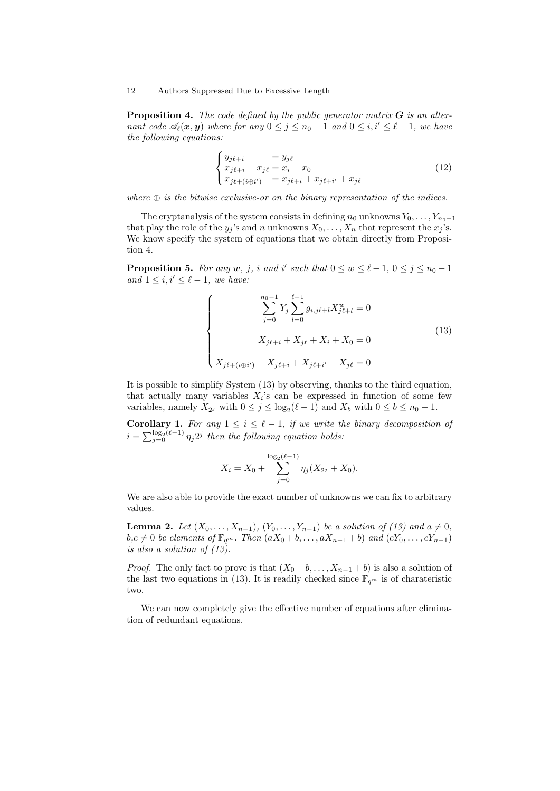**Proposition 4.** The code defined by the public generator matrix  $\bf{G}$  is an alternant code  $\mathscr{A}_{\ell}(\bm{x}, \bm{y})$  where for any  $0 \leq j \leq n_0 - 1$  and  $0 \leq i, i' \leq \ell - 1$ , we have the following equations:

$$
\begin{cases}\ny_{j\ell+i} = y_{j\ell} \\
x_{j\ell+i} + x_{j\ell} = x_i + x_0 \\
x_{j\ell+(i\oplus i')} = x_{j\ell+i} + x_{j\ell+i'} + x_{j\ell}\n\end{cases} (12)
$$

where  $\oplus$  is the bitwise exclusive-or on the binary representation of the indices.

The cryptanalysis of the system consists in defining  $n_0$  unknowns  $Y_0, \ldots, Y_{n_0-1}$ that play the role of the  $y_j$ 's and n unknowns  $X_0, \ldots, X_n$  that represent the  $x_j$ 's. We know specify the system of equations that we obtain directly from Proposition 4.

**Proposition 5.** For any w, j, i and i' such that  $0 \leq w \leq \ell - 1$ ,  $0 \leq j \leq n_0 - 1$ and  $1 \leq i, i' \leq \ell - 1$ , we have:

$$
\begin{cases}\n\sum_{j=0}^{n_0-1} Y_j \sum_{l=0}^{\ell-1} g_{i,j\ell+l} X_{j\ell+l}^w = 0 \\
X_{j\ell+i} + X_{j\ell} + X_i + X_0 = 0 \\
X_{j\ell+(i \oplus i')} + X_{j\ell+i} + X_{j\ell+i'} + X_{j\ell} = 0\n\end{cases}
$$
\n(13)

It is possible to simplify System (13) by observing, thanks to the third equation, that actually many variables  $X_i$ 's can be expressed in function of some few variables, namely  $X_{2^j}$  with  $0 \le j \le \log_2(\ell - 1)$  and  $X_b$  with  $0 \le b \le n_0 - 1$ .

Corollary 1. For any  $1 \leq i \leq \ell - 1$ , if we write the binary decomposition of  $i = \sum_{j=0}^{\log_2(\ell-1)} \eta_j 2^j$  then the following equation holds:

$$
X_i = X_0 + \sum_{j=0}^{\log_2(\ell-1)} \eta_j(X_{2^j} + X_0).
$$

We are also able to provide the exact number of unknowns we can fix to arbitrary values.

**Lemma 2.** Let  $(X_0, ..., X_{n-1}), (Y_0, ..., Y_{n-1})$  be a solution of (13) and  $a \neq 0$ ,  $b,c \neq 0$  be elements of  $\mathbb{F}_{q^m}$ . Then  $(aX_0 + b, \ldots, aX_{n-1} + b)$  and  $(cY_0, \ldots, cY_{n-1})$ is also a solution of (13).

*Proof.* The only fact to prove is that  $(X_0 + b, \ldots, X_{n-1} + b)$  is also a solution of the last two equations in (13). It is readily checked since  $\mathbb{F}_{q^m}$  is of charateristic two.

We can now completely give the effective number of equations after elimination of redundant equations.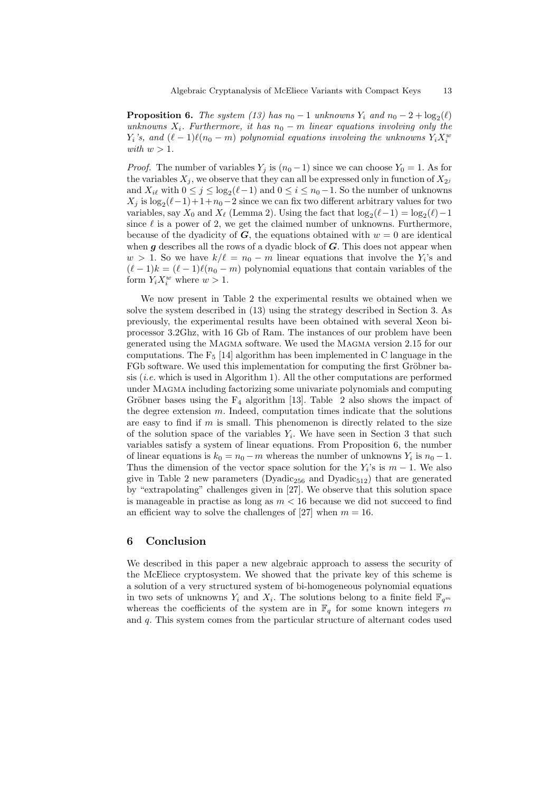**Proposition 6.** The system (13) has  $n_0 - 1$  unknowns  $Y_i$  and  $n_0 - 2 + \log_2(\ell)$ unknowns  $X_i$ . Furthermore, it has  $n_0 - m$  linear equations involving only the  $Y_i$ 's, and  $(\ell - 1)\ell(n_0 - m)$  polynomial equations involving the unknowns  $Y_i X_i^w$ with  $w > 1$ .

*Proof.* The number of variables  $Y_i$  is  $(n_0 - 1)$  since we can choose  $Y_0 = 1$ . As for the variables  $X_j$ , we observe that they can all be expressed only in function of  $X_{2j}$ and  $X_{i\ell}$  with  $0 \le j \le \log_2(\ell-1)$  and  $0 \le i \le n_0-1$ . So the number of unknowns  $X_j$  is  $\log_2(\ell-1)+1+n_0-2$  since we can fix two different arbitrary values for two variables, say  $X_0$  and  $X_\ell$  (Lemma 2). Using the fact that  $\log_2(\ell-1) = \log_2(\ell) - 1$ since  $\ell$  is a power of 2, we get the claimed number of unknowns. Furthermore, because of the dyadicity of G, the equations obtained with  $w = 0$  are identical when  $g$  describes all the rows of a dyadic block of  $G$ . This does not appear when  $w > 1$ . So we have  $k/\ell = n_0 - m$  linear equations that involve the Y<sub>i</sub>'s and  $(\ell - 1)k = (\ell - 1)\ell(n_0 - m)$  polynomial equations that contain variables of the form  $Y_i X_i^w$  where  $w > 1$ .

We now present in Table 2 the experimental results we obtained when we solve the system described in (13) using the strategy described in Section 3. As previously, the experimental results have been obtained with several Xeon biprocessor 3.2Ghz, with 16 Gb of Ram. The instances of our problem have been generated using the Magma software. We used the Magma version 2.15 for our computations. The  $F_5$  [14] algorithm has been implemented in C language in the FGb software. We used this implementation for computing the first Gröbner basis  $(i.e.$  which is used in Algorithm 1). All the other computations are performed under Magma including factorizing some univariate polynomials and computing Gröbner bases using the  $F_4$  algorithm [13]. Table 2 also shows the impact of the degree extension m. Indeed, computation times indicate that the solutions are easy to find if  $m$  is small. This phenomenon is directly related to the size of the solution space of the variables  $Y_i$ . We have seen in Section 3 that such variables satisfy a system of linear equations. From Proposition 6, the number of linear equations is  $k_0 = n_0 - m$  whereas the number of unknowns  $Y_i$  is  $n_0 - 1$ . Thus the dimension of the vector space solution for the  $Y_i$ 's is  $m-1$ . We also give in Table 2 new parameters (Dyadic<sub>256</sub> and Dyadic<sub>512</sub>) that are generated by "extrapolating" challenges given in [27]. We observe that this solution space is manageable in practise as long as  $m < 16$  because we did not succeed to find an efficient way to solve the challenges of [27] when  $m = 16$ .

# 6 Conclusion

We described in this paper a new algebraic approach to assess the security of the McEliece cryptosystem. We showed that the private key of this scheme is a solution of a very structured system of bi-homogeneous polynomial equations in two sets of unknowns  $Y_i$  and  $X_i$ . The solutions belong to a finite field  $\mathbb{F}_{q^m}$ whereas the coefficients of the system are in  $\mathbb{F}_q$  for some known integers m and q. This system comes from the particular structure of alternant codes used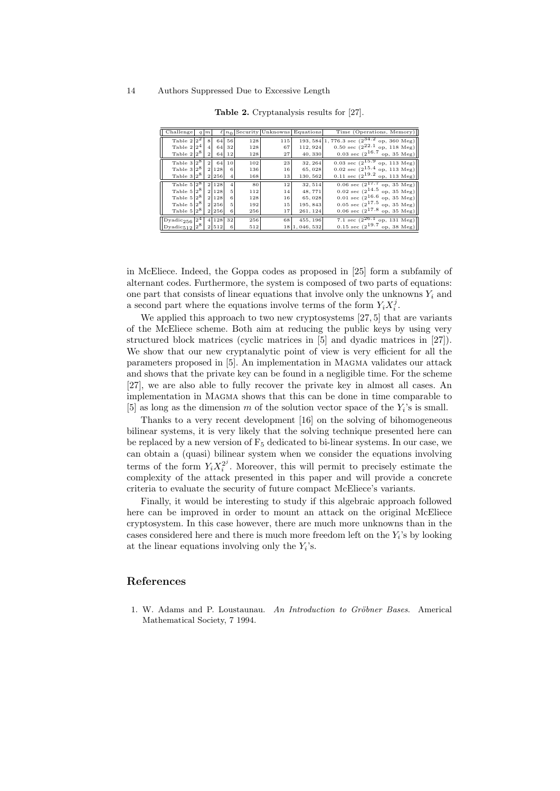| Challenge                                       | $q \mid m$     |          |           |     |     | $\ell  n_0 $ Security Unknowns Equations | Time (Operations, Memory)                                  |
|-------------------------------------------------|----------------|----------|-----------|-----|-----|------------------------------------------|------------------------------------------------------------|
| Table $2 2^2$                                   | 8              |          | 64 56     | 128 | 115 |                                          | 193, 584 1, 776.3 sec $(2^{34.2}$ op, 360 Meg)             |
| Table $2 2^4 $                                  | $\overline{4}$ | 64       | 32        | 128 | 67  | 112, 924                                 | 0.50 sec $(2^{22.1}$ op, 118 Meg)                          |
| Table $2 2^8 $                                  | $\mathbf{2}$   |          | $64$   12 | 128 | 27  | 40,330                                   | 0.03 sec $(2^{16.7}$ op, 35 Meg)                           |
| Table $3 2^8$                                   |                | 2 64 10  |           | 102 | 23  | 32, 264                                  | $0.03 \text{ sec } (2^{15.9} \text{ op}, 113 \text{ Meg})$ |
| Table $3 2^8 $ 2 128                            |                |          | 6         | 136 | 16  | 65,028                                   | $0.02 \text{ sec } (2^{15.4} \text{ op}, 113 \text{ Meg})$ |
| Table $3 2^8 $ 2 256                            |                |          |           | 168 | 13  | 130,562                                  | 0.11 sec $(2^{19.2}$ op, 113 Meg)                          |
| Table $5 2^8$                                   |                | 2 1 2 8  |           | 80  | 12  | 32,514                                   | $\boxed{0.06}$ sec $(2^{17.7}$ op, 35 Meg)                 |
| Table $5 2^8 $                                  |                | 2 1 2 8  | 5         | 112 | 14  | 48,771                                   | $0.02 \text{ sec } (2^{14.5} \text{ op}, 35 \text{ Meg})$  |
| Table $5 2^8 $ 2 128                            |                |          | 6         | 128 | 16  | 65,028                                   | 0.01 sec $(2^{16.6}$ op, 35 Meg)                           |
| Table $5 2^8 $ 2 256                            |                |          | 5.        | 192 | 15  | 195, 843                                 | $0.05 \text{ sec } (2^{17.5} \text{ op}, 35 \text{ Meg})$  |
| Table $5 2^8 $ 2 256                            |                |          | 6         | 256 | 17  | 261, 124                                 | 0.06 sec $(2^{17.8}$ op, 35 Meg)                           |
| $\vert$ Dyadic <sub>256</sub> $\vert 2^4 \vert$ |                | 4 128 32 |           | 256 | 68  | 455, 196                                 | 7.1 sec $(2^{26.1}$ op, 131 Meg)                           |
| $Dyadic512 28 2512$                             |                |          | -6        | 512 |     | 18 1, 046, 532                           | 0.15 sec $(2^{19.7}$ op, 38 Meg)                           |

Table 2. Cryptanalysis results for [27].

in McEliece. Indeed, the Goppa codes as proposed in [25] form a subfamily of alternant codes. Furthermore, the system is composed of two parts of equations: one part that consists of linear equations that involve only the unknowns  $Y_i$  and a second part where the equations involve terms of the form  $Y_i X_i^j$ .

We applied this approach to two new cryptosystems [27, 5] that are variants of the McEliece scheme. Both aim at reducing the public keys by using very structured block matrices (cyclic matrices in [5] and dyadic matrices in [27]). We show that our new cryptanalytic point of view is very efficient for all the parameters proposed in [5]. An implementation in Magma validates our attack and shows that the private key can be found in a negligible time. For the scheme [27], we are also able to fully recover the private key in almost all cases. An implementation in Magma shows that this can be done in time comparable to [5] as long as the dimension m of the solution vector space of the  $Y_i$ 's is small.

Thanks to a very recent development [16] on the solving of bihomogeneous bilinear systems, it is very likely that the solving technique presented here can be replaced by a new version of  $F_5$  dedicated to bi-linear systems. In our case, we can obtain a (quasi) bilinear system when we consider the equations involving terms of the form  $Y_i X_i^{2^j}$ . Moreover, this will permit to precisely estimate the complexity of the attack presented in this paper and will provide a concrete criteria to evaluate the security of future compact McEliece's variants.

Finally, it would be interesting to study if this algebraic approach followed here can be improved in order to mount an attack on the original McEliece cryptosystem. In this case however, there are much more unknowns than in the cases considered here and there is much more freedom left on the  $Y_i$ 's by looking at the linear equations involving only the  $Y_i$ 's.

## References

1. W. Adams and P. Loustaunau. An Introduction to Gröbner Bases. Americal Mathematical Society, 7 1994.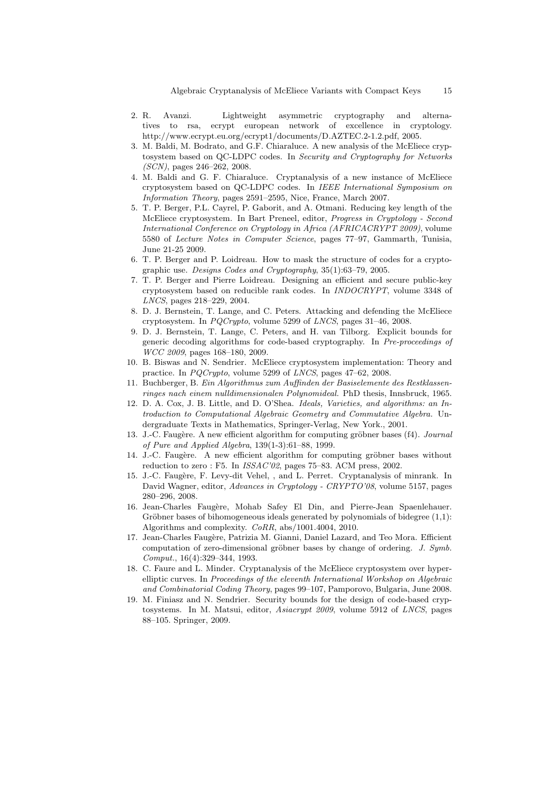- 2. R. Avanzi. Lightweight asymmetric cryptography and alternatives to rsa, ecrypt european network of excellence in cryptology. http://www.ecrypt.eu.org/ecrypt1/documents/D.AZTEC.2-1.2.pdf, 2005.
- 3. M. Baldi, M. Bodrato, and G.F. Chiaraluce. A new analysis of the McEliece cryptosystem based on QC-LDPC codes. In Security and Cryptography for Networks (SCN), pages 246–262, 2008.
- 4. M. Baldi and G. F. Chiaraluce. Cryptanalysis of a new instance of McEliece cryptosystem based on QC-LDPC codes. In IEEE International Symposium on Information Theory, pages 2591–2595, Nice, France, March 2007.
- 5. T. P. Berger, P.L. Cayrel, P. Gaborit, and A. Otmani. Reducing key length of the McEliece cryptosystem. In Bart Preneel, editor, Progress in Cryptology - Second International Conference on Cryptology in Africa (AFRICACRYPT 2009), volume 5580 of Lecture Notes in Computer Science, pages 77–97, Gammarth, Tunisia, June 21-25 2009.
- 6. T. P. Berger and P. Loidreau. How to mask the structure of codes for a cryptographic use. Designs Codes and Cryptography, 35(1):63–79, 2005.
- 7. T. P. Berger and Pierre Loidreau. Designing an efficient and secure public-key cryptosystem based on reducible rank codes. In INDOCRYPT, volume 3348 of LNCS, pages 218–229, 2004.
- 8. D. J. Bernstein, T. Lange, and C. Peters. Attacking and defending the McEliece cryptosystem. In PQCrypto, volume 5299 of LNCS, pages 31–46, 2008.
- 9. D. J. Bernstein, T. Lange, C. Peters, and H. van Tilborg. Explicit bounds for generic decoding algorithms for code-based cryptography. In Pre-proceedings of WCC 2009, pages 168–180, 2009.
- 10. B. Biswas and N. Sendrier. McEliece cryptosystem implementation: Theory and practice. In PQCrypto, volume 5299 of LNCS, pages 47–62, 2008.
- 11. Buchberger, B. Ein Algorithmus zum Auffinden der Basiselemente des Restklassenringes nach einem nulldimensionalen Polynomideal. PhD thesis, Innsbruck, 1965.
- 12. D. A. Cox, J. B. Little, and D. O'Shea. Ideals, Varieties, and algorithms: an Introduction to Computational Algebraic Geometry and Commutative Algebra. Undergraduate Texts in Mathematics, Springer-Verlag, New York., 2001.
- 13. J.-C. Faugère. A new efficient algorithm for computing gröbner bases (f4). Journal of Pure and Applied Algebra, 139(1-3):61–88, 1999.
- 14. J.-C. Faugère. A new efficient algorithm for computing gröbner bases without reduction to zero : F5. In ISSAC'02, pages 75–83. ACM press, 2002.
- 15. J.-C. Faug`ere, F. Levy-dit Vehel, , and L. Perret. Cryptanalysis of minrank. In David Wagner, editor, Advances in Cryptology - CRYPTO'08, volume 5157, pages 280–296, 2008.
- 16. Jean-Charles Faug`ere, Mohab Safey El Din, and Pierre-Jean Spaenlehauer. Gröbner bases of bihomogeneous ideals generated by polynomials of bidegree  $(1,1)$ : Algorithms and complexity. CoRR, abs/1001.4004, 2010.
- 17. Jean-Charles Faugère, Patrizia M. Gianni, Daniel Lazard, and Teo Mora. Efficient computation of zero-dimensional gröbner bases by change of ordering.  $J. Symb$ . Comput., 16(4):329–344, 1993.
- 18. C. Faure and L. Minder. Cryptanalysis of the McEliece cryptosystem over hyperelliptic curves. In Proceedings of the eleventh International Workshop on Algebraic and Combinatorial Coding Theory, pages 99–107, Pamporovo, Bulgaria, June 2008.
- 19. M. Finiasz and N. Sendrier. Security bounds for the design of code-based cryptosystems. In M. Matsui, editor, Asiacrypt 2009, volume 5912 of LNCS, pages 88–105. Springer, 2009.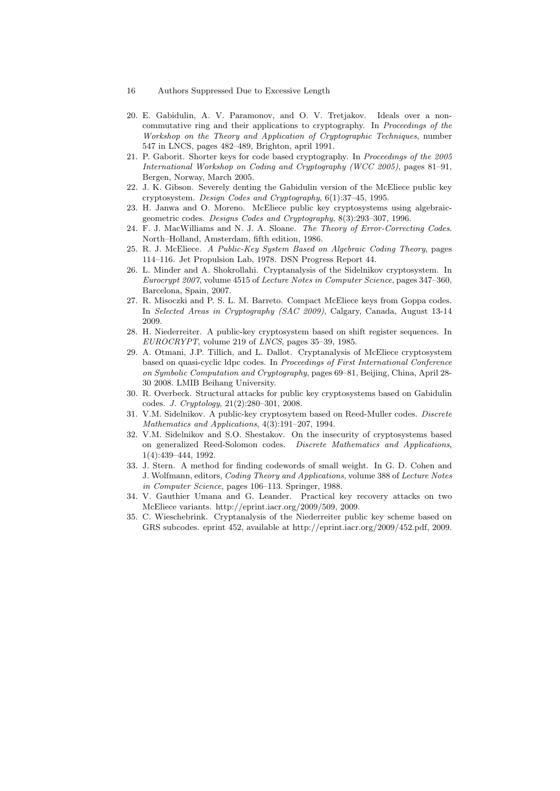- 16 Authors Suppressed Due to Excessive Length
- 20. E. Gabidulin, A. V. Paramonov, and O. V. Tretjakov. Ideals over a noncommutative ring and their applications to cryptography. In Proceedings of the Workshop on the Theory and Application of Cryptographic Techniques, number 547 in LNCS, pages 482–489, Brighton, april 1991.
- 21. P. Gaborit. Shorter keys for code based cryptography. In Proceedings of the 2005 International Workshop on Coding and Cryptography (WCC 2005), pages 81–91, Bergen, Norway, March 2005.
- 22. J. K. Gibson. Severely denting the Gabidulin version of the McEliece public key cryptosystem. Design Codes and Cryptography, 6(1):37–45, 1995.
- 23. H. Janwa and O. Moreno. McEliece public key cryptosystems using algebraicgeometric codes. Designs Codes and Cryptography, 8(3):293–307, 1996.
- 24. F. J. MacWilliams and N. J. A. Sloane. The Theory of Error-Correcting Codes. North–Holland, Amsterdam, fifth edition, 1986.
- 25. R. J. McEliece. A Public-Key System Based on Algebraic Coding Theory, pages 114–116. Jet Propulsion Lab, 1978. DSN Progress Report 44.
- 26. L. Minder and A. Shokrollahi. Cryptanalysis of the Sidelnikov cryptosystem. In Eurocrypt 2007, volume 4515 of Lecture Notes in Computer Science, pages 347–360, Barcelona, Spain, 2007.
- 27. R. Misoczki and P. S. L. M. Barreto. Compact McEliece keys from Goppa codes. In Selected Areas in Cryptography (SAC 2009), Calgary, Canada, August 13-14 2009.
- 28. H. Niederreiter. A public-key cryptosystem based on shift register sequences. In EUROCRYPT, volume 219 of LNCS, pages 35–39, 1985.
- 29. A. Otmani, J.P. Tillich, and L. Dallot. Cryptanalysis of McEliece cryptosystem based on quasi-cyclic ldpc codes. In Proceedings of First International Conference on Symbolic Computation and Cryptography, pages 69–81, Beijing, China, April 28- 30 2008. LMIB Beihang University.
- 30. R. Overbeck. Structural attacks for public key cryptosystems based on Gabidulin codes. J. Cryptology, 21(2):280–301, 2008.
- 31. V.M. Sidelnikov. A public-key cryptosytem based on Reed-Muller codes. Discrete Mathematics and Applications, 4(3):191–207, 1994.
- 32. V.M. Sidelnikov and S.O. Shestakov. On the insecurity of cryptosystems based on generalized Reed-Solomon codes. Discrete Mathematics and Applications, 1(4):439–444, 1992.
- 33. J. Stern. A method for finding codewords of small weight. In G. D. Cohen and J. Wolfmann, editors, Coding Theory and Applications, volume 388 of Lecture Notes in Computer Science, pages 106–113. Springer, 1988.
- 34. V. Gauthier Umana and G. Leander. Practical key recovery attacks on two McEliece variants. http://eprint.iacr.org/2009/509, 2009.
- 35. C. Wieschebrink. Cryptanalysis of the Niederreiter public key scheme based on GRS subcodes. eprint 452, available at http://eprint.iacr.org/2009/452.pdf, 2009.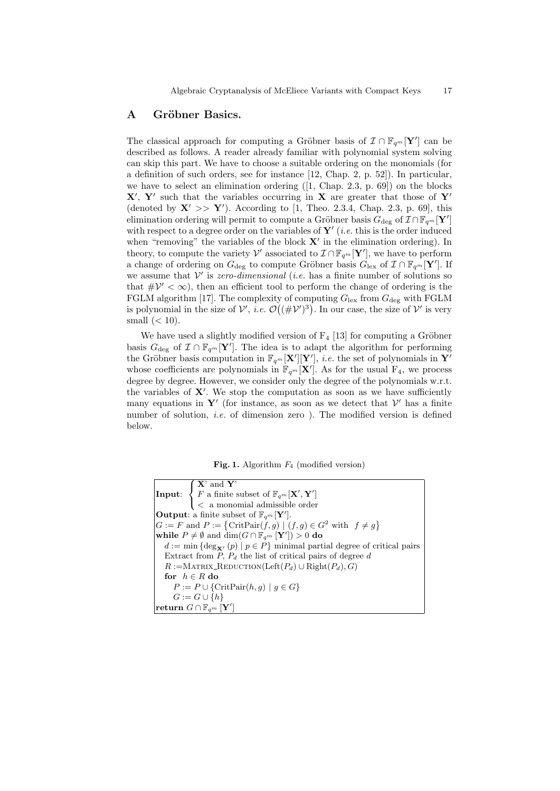# A Gröbner Basics.

The classical approach for computing a Gröbner basis of  $\mathcal{I} \cap \mathbb{F}_{q^m}[\mathbf{Y}']$  can be described as follows. A reader already familiar with polynomial system solving can skip this part. We have to choose a suitable ordering on the monomials (for a definition of such orders, see for instance [12, Chap. 2, p. 52]). In particular, we have to select an elimination ordering ([1, Chap. 2.3, p. 69]) on the blocks  $X'$ , Y' such that the variables occurring in X are greater that those of Y' (denoted by  $X' >> Y'$ ). According to [1, Theo. 2.3.4, Chap. 2.3, p. 69], this elimination ordering will permit to compute a Gröbner basis  $G_{\text{deg}}$  of  $\mathcal{I} \cap \mathbb{F}_{q^m}[\mathbf{Y}']$ with respect to a degree order on the variables of  $Y'$  (*i.e.* this is the order induced when "removing" the variables of the block  $X'$  in the elimination ordering). In theory, to compute the variety  $\mathcal{V}'$  associated to  $\mathcal{I} \cap \mathbb{F}_{q^m}[\mathbf{Y}'],$  we have to perform a change of ordering on  $G_{\text{deg}}$  to compute Gröbner basis  $G_{\text{lex}}$  of  $\mathcal{I} \cap \mathbb{F}_{q^m}[\mathbf{Y}']$ . If we assume that  $V'$  is zero-dimensional (i.e. has a finite number of solutions so that  $\#\mathcal{V}' < \infty$ , then an efficient tool to perform the change of ordering is the FGLM algorithm [17]. The complexity of computing  $G_{\text{lex}}$  from  $G_{\text{deg}}$  with FGLM is polynomial in the size of  $\mathcal{V}'$ , *i.e.*  $\mathcal{O}((\#\mathcal{V}')^3)$ . In our case, the size of  $\mathcal{V}'$  is very small  $(< 10$ ).

We have used a slightly modified version of  $F_4$  [13] for computing a Gröbner basis  $G_{\text{deg}}$  of  $\mathcal{I} \cap \mathbb{F}_{q^m}[\mathbf{Y}']$ . The idea is to adapt the algorithm for performing the Gröbner basis computation in  $\mathbb{F}_{q^m}[\mathbf{X}'][\mathbf{Y}'],$  i.e. the set of polynomials in  $\mathbf{Y}'$ whose coefficients are polynomials in  $\mathbb{F}_{q^m}[\mathbf{X}']$ . As for the usual  $F_4$ , we process degree by degree. However, we consider only the degree of the polynomials w.r.t. the variables of  $X'$ . We stop the computation as soon as we have sufficiently many equations in Y' (for instance, as soon as we detect that  $\mathcal{V}'$  has a finite number of solution, i.e. of dimension zero ). The modified version is defined below.

Fig. 1. Algorithm  $F_4$  (modified version)

| <b>Input:</b> $\begin{cases} \mathbf{X}' \text{ and } \mathbf{Y}' \\ F \text{ a finite subset of } \mathbb{F}_{q^m}[\mathbf{X}', \mathbf{Y}'] \\ < \text{ a monomial admissible order} \end{cases}$ |
|-----------------------------------------------------------------------------------------------------------------------------------------------------------------------------------------------------|
|                                                                                                                                                                                                     |
| <b>Output:</b> a finite subset of $\mathbb{F}_{q^m}[\mathbf{Y}']$ .                                                                                                                                 |
| $G := F$ and $P := \{ \text{CritPair}(f, g) \mid (f, g) \in G^2 \text{ with } f \neq g \}$                                                                                                          |
| while $P \neq \emptyset$ and $\dim(G \cap \mathbb{F}_{q^m}   \mathbf{Y}' ) > 0$ do                                                                                                                  |
| $d := \min \{ \deg_{\mathbf{X'}}(p) \mid p \in P \}$ minimal partial degree of critical pairs                                                                                                       |
| Extract from P, $P_d$ the list of critical pairs of degree d                                                                                                                                        |
| $R :=$ MATRIX_REDUCTION(Left $(P_d) \cup$ Right $(P_d), G$ )                                                                                                                                        |
| for $h \in R$ do                                                                                                                                                                                    |
| $P := P \cup \{CritPair(h, g)   g \in G\}$                                                                                                                                                          |
| $G := G \cup \{h\}$                                                                                                                                                                                 |
| return $G\cap \mathbb{F}_{q^m}\left[ \mathbf{Y}'\right]$                                                                                                                                            |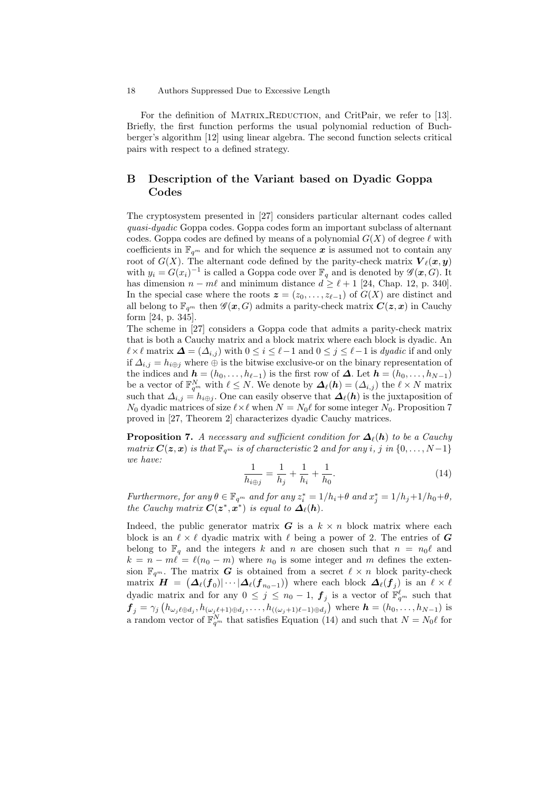For the definition of MATRIX\_REDUCTION, and CritPair, we refer to [13]. Briefly, the first function performs the usual polynomial reduction of Buchberger's algorithm [12] using linear algebra. The second function selects critical pairs with respect to a defined strategy.

# B Description of the Variant based on Dyadic Goppa Codes

The cryptosystem presented in [27] considers particular alternant codes called quasi-dyadic Goppa codes. Goppa codes form an important subclass of alternant codes. Goppa codes are defined by means of a polynomial  $G(X)$  of degree  $\ell$  with coefficients in  $\mathbb{F}_{q^m}$  and for which the sequence x is assumed not to contain any root of  $G(X)$ . The alternant code defined by the parity-check matrix  $\mathbf{V}_{\ell}(\boldsymbol{x}, \boldsymbol{y})$ with  $y_i = G(x_i)^{-1}$  is called a Goppa code over  $\mathbb{F}_q$  and is denoted by  $\mathscr{G}(x, G)$ . It has dimension  $n - m\ell$  and minimum distance  $d \geq \ell + 1$  [24, Chap. 12, p. 340]. In the special case where the roots  $z = (z_0, \ldots, z_{\ell-1})$  of  $G(X)$  are distinct and all belong to  $\mathbb{F}_{q^m}$  then  $\mathscr{G}(\mathbf{z}, G)$  admits a parity-check matrix  $\mathbf{C}(\mathbf{z}, \mathbf{x})$  in Cauchy form [24, p. 345].

The scheme in [27] considers a Goppa code that admits a parity-check matrix that is both a Cauchy matrix and a block matrix where each block is dyadic. An  $\ell \times \ell$  matrix  $\Delta = (\Delta_{i,j})$  with  $0 \leq i \leq \ell-1$  and  $0 \leq j \leq \ell-1$  is dyadic if and only if  $\Delta_{i,j} = h_{i \oplus j}$  where  $\oplus$  is the bitwise exclusive-or on the binary representation of the indices and  $\mathbf{h} = (h_0, \ldots, h_{\ell-1})$  is the first row of  $\Delta$ . Let  $\mathbf{h} = (h_0, \ldots, h_{N-1})$ be a vector of  $\mathbb{F}_{q^m}^N$  with  $\ell \leq N$ . We denote by  $\mathbf{\Delta}_{\ell}(h) = (\Delta_{i,j})$  the  $\ell \times N$  matrix such that  $\Delta_{i,j} = h_{i\oplus j}$ . One can easily observe that  $\Delta_{\ell}(h)$  is the juxtaposition of  $N_0$  dyadic matrices of size  $\ell \times \ell$  when  $N = N_0\ell$  for some integer  $N_0$ . Proposition 7 proved in [27, Theorem 2] characterizes dyadic Cauchy matrices.

**Proposition 7.** A necessary and sufficient condition for  $\mathbf{\Delta}_{\ell}(\mathbf{h})$  to be a Cauchy matrix  $C(z, x)$  is that  $\mathbb{F}_{q^m}$  is of characteristic 2 and for any i, j in  $\{0, \ldots, N-1\}$ we have:

$$
\frac{1}{h_{i\oplus j}} = \frac{1}{h_j} + \frac{1}{h_i} + \frac{1}{h_0}.\tag{14}
$$

Furthermore, for any  $\theta \in \mathbb{F}_{q^m}$  and for any  $z_i^* = 1/h_i + \theta$  and  $x_j^* = 1/h_j + 1/h_0 + \theta$ , the Cauchy matrix  $C(z^*,x^*)$  is equal to  $\Delta_{\ell}(h)$ .

Indeed, the public generator matrix  $G$  is a  $k \times n$  block matrix where each block is an  $\ell \times \ell$  dyadic matrix with  $\ell$  being a power of 2. The entries of G belong to  $\mathbb{F}_q$  and the integers k and n are chosen such that  $n = n_0\ell$  and  $k = n - m\ell = \ell(n_0 - m)$  where  $n_0$  is some integer and m defines the extension  $\mathbb{F}_{q^m}$ . The matrix G is obtained from a secret  $\ell \times n$  block parity-check matrix  $\bm{H}~=~\left(\bm{\varDelta}_{\ell}(\bm{f}_0)|\cdots|\bm{\varDelta}_{\ell}(\bm{f}_{n_0-1})\right)$  where each block  $\bm{\varDelta}_{\ell}(\bm{f}_j)$  is an  $\ell\times\ell$ dyadic matrix and for any  $0 \leq j \leq n_0 - 1$ ,  $\boldsymbol{f}_j$  is a vector of  $\mathbb{F}_{q^m}^{\ell}$  such that  $f_j = \gamma_j(h_{\omega_j\ell\oplus d_j}, h_{(\omega_j\ell+1)\oplus d_j}, \ldots, h_{((\omega_j+1)\ell-1)\oplus d_j})$  where  $\mathbf{h} = (h_0, \ldots, h_{N-1})$  is a random vector of  $\mathbb{F}_{q^m}^N$  that satisfies Equation (14) and such that  $N = N_0\ell$  for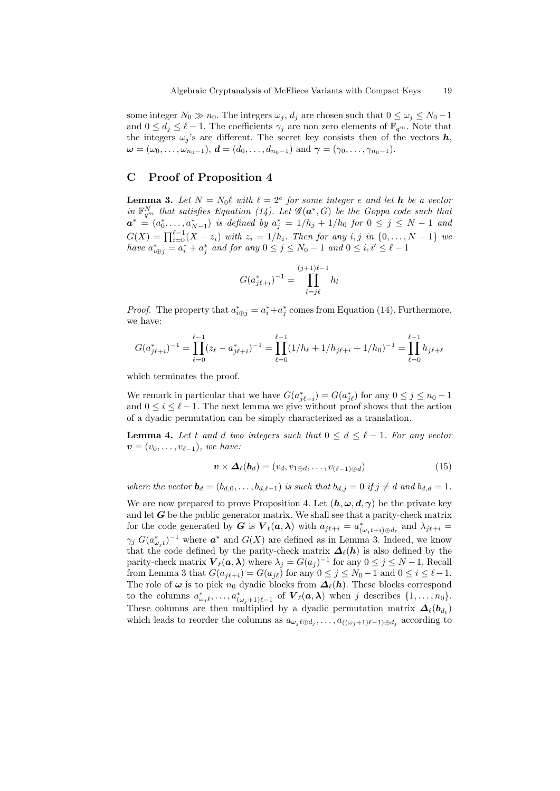some integer  $N_0 \gg n_0$ . The integers  $\omega_j$ ,  $d_j$  are chosen such that  $0 \leq \omega_j \leq N_0 - 1$ and  $0 \le d_j \le \ell - 1$ . The coefficients  $\gamma_j$  are non zero elements of  $\mathbb{F}_{q^m}$ . Note that the integers  $\omega_j$ 's are different. The secret key consists then of the vectors  $h$ ,  $\omega = (\omega_0, \ldots, \omega_{n_0-1}), d = (d_0, \ldots, d_{n_0-1})$  and  $\gamma = (\gamma_0, \ldots, \gamma_{n_0-1}).$ 

# C Proof of Proposition 4

**Lemma 3.** Let  $N = N_0 \ell$  with  $\ell = 2^e$  for some integer e and let **h** be a vector in  $\mathbb{F}_{q^m}^N$  that satisfies Equation (14). Let  $\mathscr{G}(\boldsymbol{a}^*,G)$  be the Goppa code such that  $\boldsymbol{a}^*$  =  $(a_0^*, \ldots, a_{N-1}^*)$  is defined by  $a_j^* = 1/h_j + 1/h_0$  for  $0 \leq j \leq N-1$  and  $G(X) = \prod_{i=0}^{\ell-1} (X - z_i)$  with  $z_i = 1/h_i$ . Then for any i, j in  $\{0, ..., N-1\}$  we have  $a^*_{i\oplus j} = a^*_i + a^*_j$  and for any  $0 \leq j \leq N_0 - 1$  and  $0 \leq i, i' \leq \ell - 1$ 

$$
G(a_{j\ell+i}^*)^{-1} = \prod_{l=j\ell}^{(j+1)\ell-1} h_l
$$

*Proof.* The property that  $a_{i\oplus j}^* = a_i^* + a_j^*$  comes from Equation (14). Furthermore, we have:

$$
G(a_{j\ell+i}^*)^{-1} = \prod_{\ell=0}^{\ell-1} (z_{\ell} - a_{j\ell+i}^*)^{-1} = \prod_{\ell=0}^{\ell-1} (1/h_{\ell} + 1/h_{j\ell+i} + 1/h_0)^{-1} = \prod_{\ell=0}^{\ell-1} h_{j\ell+\ell}
$$

which terminates the proof.

We remark in particular that we have  $G(a_{j\ell+i}^*) = G(a_{j\ell}^*)$  for any  $0 \le j \le n_0 - 1$ and  $0 \leq i \leq \ell - 1$ . The next lemma we give without proof shows that the action of a dyadic permutation can be simply characterized as a translation.

**Lemma 4.** Let t and d two integers such that  $0 \leq d \leq \ell - 1$ . For any vector  $\mathbf{v} = (v_0, \ldots, v_{\ell-1}),$  we have:

$$
\mathbf{v} \times \mathbf{\Delta}_{\ell}(b_d) = (v_d, v_{1 \oplus d}, \dots, v_{(\ell-1) \oplus d}) \tag{15}
$$

where the vector  $\mathbf{b}_d = (b_{d,0}, \ldots, b_{d,\ell-1})$  is such that  $b_{d,j} = 0$  if  $j \neq d$  and  $b_{d,d} = 1$ .

We are now prepared to prove Proposition 4. Let  $(h, \omega, d, \gamma)$  be the private key and let  $G$  be the public generator matrix. We shall see that a parity-check matrix for the code generated by  $G$  is  $V_{\ell}(a, \lambda)$  with  $a_{j\ell+i} = a^*_{(\omega_j t+i) \oplus d_{\ell}}$  and  $\lambda_{j\ell+i} =$  $\gamma_j G(a_{\omega_j t}^*)^{-1}$  where  $a^*$  and  $G(X)$  are defined as in Lemma 3. Indeed, we know that the code defined by the parity-check matrix  $\mathbf{\Delta}_{\ell}(h)$  is also defined by the parity-check matrix  $\mathbf{V}_{\ell}(\boldsymbol{a},\boldsymbol{\lambda})$  where  $\lambda_j = G(a_j)^{-1}$  for any  $0 \leq j \leq N-1$ . Recall from Lemma 3 that  $G(a_{j\ell+i}) = G(a_{j\ell})$  for any  $0 \le j \le N_0 - 1$  and  $0 \le i \le \ell - 1$ . The role of  $\omega$  is to pick  $n_0$  dyadic blocks from  $\Delta_{\ell}(h)$ . These blocks correspond to the columns  $a^*_{\omega_j \ell}, \ldots, a^*_{(\omega_j+1)\ell-1}$  of  $\mathbf{V}_{\ell}(\boldsymbol{a},\boldsymbol{\lambda})$  when j describes  $\{1,\ldots,n_0\}$ . These columns are then multiplied by a dyadic permutation matrix  $\mathbf{\Delta}_{\ell}(\mathbf{b}_{d_{\ell}})$ which leads to reorder the columns as  $a_{\omega_j \ell \oplus d_j}, \ldots, a_{((\omega_j+1)\ell-1)\oplus d_j}$  according to